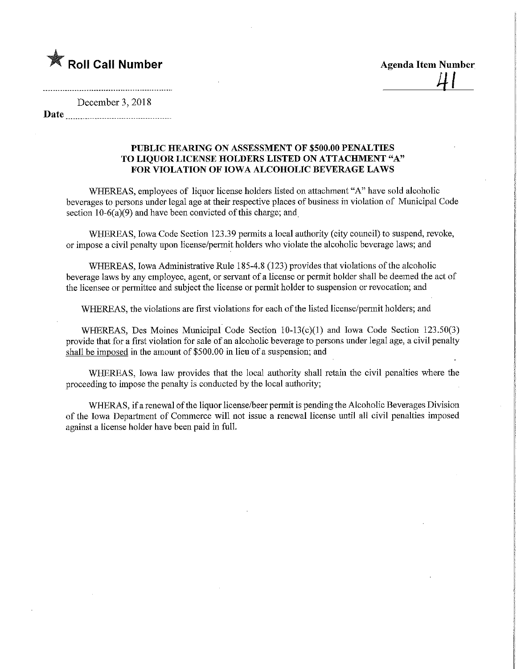

December 3, 2018 Date

## PUBLIC HEARING ON ASSESSMENT OF \$500.00 PENALTIES TO LIQUOR LICENSE HOLDERS LISTED ON ATTACHMENT "A" FOR VIOLATION OF IOWA ALCOHOLIC BEVERAGE LAWS

WHEREAS, employees of liquor license holders listed on attachment "A" have sold alcoholic beverages to persons under legal age at their respective places of business in violation of Municipal Code section  $10-6(a)(9)$  and have been convicted of this charge; and

WHEREAS, Iowa Code Section 123.39 permits a local authority (city council) to suspend, revoke, or impose a civil penalty upon license/permit holders who violate the alcoholic beverage laws; and

WHEREAS, Iowa Administrative Rule 185-4.8 (123) provides that violations of the alcoholic beverage laws by any employee, agent, or servant of a license or permit holder shall be deemed the act of the licensee or permittee and subject fhe license or permit holder to suspension or revocation; and

WHEREAS, the violations are first violations for each of the listed license/permit holders; and

WHEREAS, Des Moines Municipal Code Section 10-13(c)(l) and Iowa Code Section 123.50(3) provide that for a first violation for sale of an alcoholic beverage to persons under legal age, a civil penalty shall be imposed in the amount of \$500.00 in lieu of a suspension; and

WHEREAS, Iowa law provides that the local authority shall retam the civil penalties where the proceeding to impose the penalty is conducted by the local authority;

WHERAS, if a renewal of the liquor license/beer permit is pending the Alcoholic Beverages Division of the Iowa Department of Commerce will not issue a renewal license until all civil penalties imposed against a license holder have been paid in full.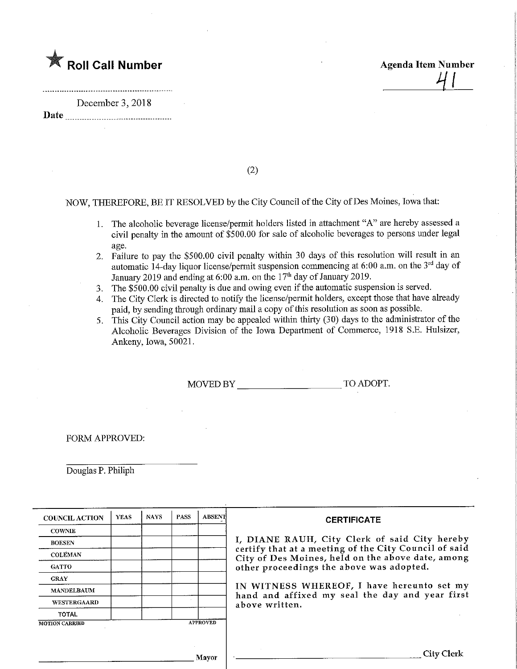

December 3, 2018

Date

(2)

NOW, THEREFORE, BE IT RESOLVED by the City Council of the City of Des Moines, Iowa that:

- 1. The alcoholic beverage license/permit holders listed in attachment "A" are hereby assessed a civil penalty in the amount of \$500.00 for sale of alcoholic beverages to persons under legal age.
- 2. Failure to pay the \$500.00 civil penalty within 30 days of this resolution will result in an automatic 14-day liquor license/permit suspension commencing at 6:00 a.m. on the 3<sup>rd</sup> day of January 2019 and ending at 6:00 a.m. on the  $17<sup>th</sup>$  day of January 2019.
- 3. The \$500.00 civil penalty is due and owing even if the automatic suspension is served.
- 4. The City Clerk is directed to notify the license/permit holders, except those that have already paid, by sending through ordinary mail a copy of this resolution as soon as possible.
- 5. This City Council action may be appealed within thirty (30) days to the administrator of the Alcoholic Beverages Division of the Iowa Department of Commerce, 1918 S.E. Hulsizer, Ankeny, Iowa, 50021.

MOVED BY TO ADOPT.

FORM APPROVED:

Douglas P. Philiph

| <b>COUNCIL ACTION</b> | <b>YEAS</b> | <b>NAYS</b> | <b>PASS</b> | <b>ABSENT</b>   | <b>CERTIFICATE</b>                                                                                                                                     |  |  |  |  |  |  |  |
|-----------------------|-------------|-------------|-------------|-----------------|--------------------------------------------------------------------------------------------------------------------------------------------------------|--|--|--|--|--|--|--|
| <b>COWNIE</b>         |             |             |             |                 |                                                                                                                                                        |  |  |  |  |  |  |  |
| <b>BOESEN</b>         |             |             |             |                 | I, DIANE RAUH, City Clerk of said City hereby                                                                                                          |  |  |  |  |  |  |  |
| <b>COLEMAN</b>        |             |             |             |                 | certify that at a meeting of the City Council of said<br>City of Des Moines, held on the above date, among<br>other proceedings the above was adopted. |  |  |  |  |  |  |  |
| <b>GATTO</b>          |             |             |             |                 |                                                                                                                                                        |  |  |  |  |  |  |  |
| <b>GRAY</b>           |             |             |             |                 |                                                                                                                                                        |  |  |  |  |  |  |  |
| <b>MANDELBAUM</b>     |             |             |             |                 | IN WITNESS WHEREOF, I have hereunto set my<br>hand and affixed my seal the day and year first                                                          |  |  |  |  |  |  |  |
| <b>WESTERGAARD</b>    |             |             |             |                 | above written.                                                                                                                                         |  |  |  |  |  |  |  |
| <b>TOTAL</b>          |             |             |             |                 |                                                                                                                                                        |  |  |  |  |  |  |  |
| <b>MOTION CARRIED</b> |             |             |             | <b>APPROVED</b> |                                                                                                                                                        |  |  |  |  |  |  |  |
|                       |             |             |             |                 |                                                                                                                                                        |  |  |  |  |  |  |  |
|                       |             |             |             | Mayor           | City Clerk                                                                                                                                             |  |  |  |  |  |  |  |